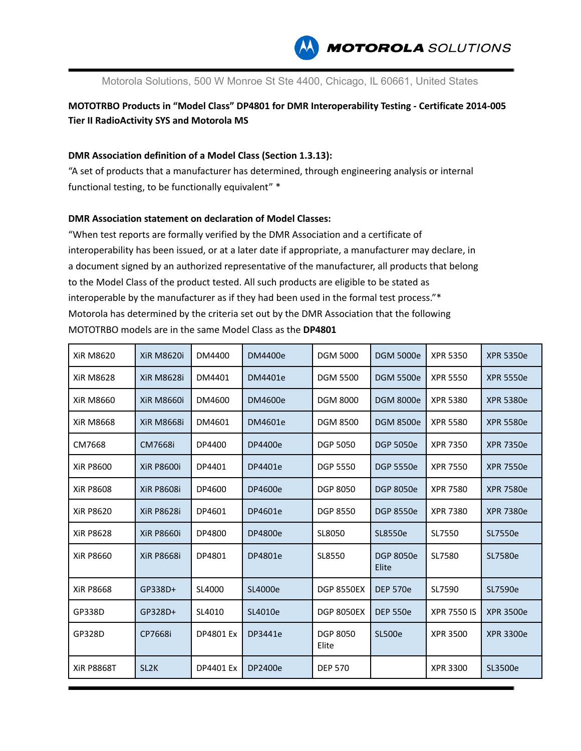

Motorola Solutions, 500 W Monroe St Ste 4400, Chicago, IL 60661, United States

**MOTOTRBO Products in "Model Class" DP4801 for DMR Interoperability Testing - Certificate 2014-005 Tier II RadioActivity SYS and Motorola MS**

## **DMR Association definition of a Model Class (Section 1.3.13):**

"A set of products that a manufacturer has determined, through engineering analysis or internal functional testing, to be functionally equivalent" \*

## **DMR Association statement on declaration of Model Classes:**

"When test reports are formally verified by the DMR Association and a certificate of interoperability has been issued, or at a later date if appropriate, a manufacturer may declare, in a document signed by an authorized representative of the manufacturer, all products that belong to the Model Class of the product tested. All such products are eligible to be stated as interoperable by the manufacturer as if they had been used in the formal test process."\* Motorola has determined by the criteria set out by the DMR Association that the following MOTOTRBO models are in the same Model Class as the **DP4801**

| <b>XiR M8620</b>  | <b>XiR M8620i</b> | DM4400           | <b>DM4400e</b> | <b>DGM 5000</b>          | <b>DGM 5000e</b>          | <b>XPR 5350</b>    | <b>XPR 5350e</b> |
|-------------------|-------------------|------------------|----------------|--------------------------|---------------------------|--------------------|------------------|
| <b>XiR M8628</b>  | <b>XiR M8628i</b> | DM4401           | DM4401e        | <b>DGM 5500</b>          | <b>DGM 5500e</b>          | <b>XPR 5550</b>    | <b>XPR 5550e</b> |
| XiR M8660         | <b>XiR M8660i</b> | DM4600           | DM4600e        | <b>DGM 8000</b>          | <b>DGM 8000e</b>          | <b>XPR 5380</b>    | <b>XPR 5380e</b> |
| <b>XiR M8668</b>  | <b>XiR M8668i</b> | DM4601           | DM4601e        | <b>DGM 8500</b>          | <b>DGM 8500e</b>          | <b>XPR 5580</b>    | <b>XPR 5580e</b> |
| CM7668            | <b>CM7668i</b>    | DP4400           | DP4400e        | <b>DGP 5050</b>          | <b>DGP 5050e</b>          | <b>XPR 7350</b>    | <b>XPR 7350e</b> |
| <b>XiR P8600</b>  | <b>XiR P8600i</b> | DP4401           | DP4401e        | <b>DGP 5550</b>          | <b>DGP 5550e</b>          | <b>XPR 7550</b>    | <b>XPR 7550e</b> |
| <b>XiR P8608</b>  | <b>XiR P8608i</b> | DP4600           | DP4600e        | <b>DGP 8050</b>          | <b>DGP 8050e</b>          | <b>XPR 7580</b>    | <b>XPR 7580e</b> |
| <b>XiR P8620</b>  | <b>XiR P8628i</b> | DP4601           | DP4601e        | <b>DGP 8550</b>          | <b>DGP 8550e</b>          | <b>XPR 7380</b>    | <b>XPR 7380e</b> |
| <b>XiR P8628</b>  | <b>XiR P8660i</b> | DP4800           | DP4800e        | SL8050                   | SL8550e                   | SL7550             | SL7550e          |
| <b>XiR P8660</b>  | <b>XiR P8668i</b> | DP4801           | DP4801e        | SL8550                   | <b>DGP 8050e</b><br>Elite | SL7580             | SL7580e          |
| <b>XiR P8668</b>  | GP338D+           | SL4000           | SL4000e        | <b>DGP 8550EX</b>        | <b>DEP 570e</b>           | SL7590             | SL7590e          |
| GP338D            | GP328D+           | SL4010           | SL4010e        | <b>DGP 8050EX</b>        | <b>DEP 550e</b>           | <b>XPR 7550 IS</b> | <b>XPR 3500e</b> |
| GP328D            | CP7668i           | <b>DP4801 Ex</b> | DP3441e        | <b>DGP 8050</b><br>Elite | <b>SL500e</b>             | <b>XPR 3500</b>    | <b>XPR 3300e</b> |
| <b>XiR P8868T</b> | SL <sub>2</sub> K | <b>DP4401 Ex</b> | DP2400e        | <b>DEP 570</b>           |                           | <b>XPR 3300</b>    | SL3500e          |